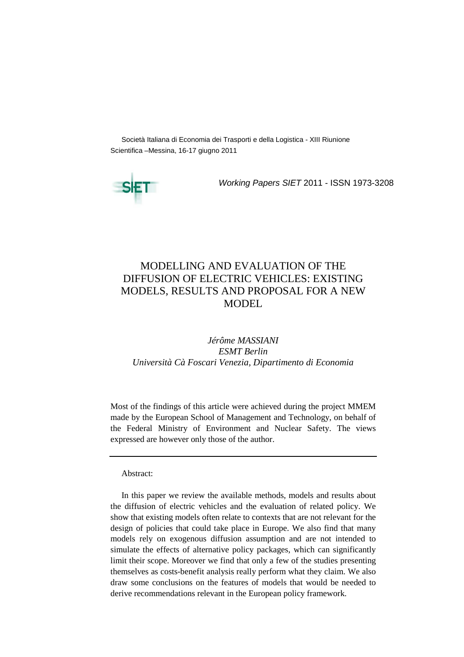Società Italiana di Economia dei Trasporti e della Logistica - XIII Riunione Scientifica –Messina, 16-17 giugno 2011



Working Papers SIET 2011 - ISSN 1973-3208

# MODELLING AND EVALUATION OF THE DIFFUSION OF ELECTRIC VEHICLES: EXISTING MODELS, RESULTS AND PROPOSAL FOR A NEW MODEL

# *Jérôme MASSIANI ESMT Berlin Università Cà Foscari Venezia, Dipartimento di Economia*

Most of the findings of this article were achieved during the project MMEM made by the European School of Management and Technology, on behalf of the Federal Ministry of Environment and Nuclear Safety. The views expressed are however only those of the author.

#### Abstract:

In this paper we review the available methods, models and results about the diffusion of electric vehicles and the evaluation of related policy. We show that existing models often relate to contexts that are not relevant for the design of policies that could take place in Europe. We also find that many models rely on exogenous diffusion assumption and are not intended to simulate the effects of alternative policy packages, which can significantly limit their scope. Moreover we find that only a few of the studies presenting themselves as costs-benefit analysis really perform what they claim. We also draw some conclusions on the features of models that would be needed to derive recommendations relevant in the European policy framework.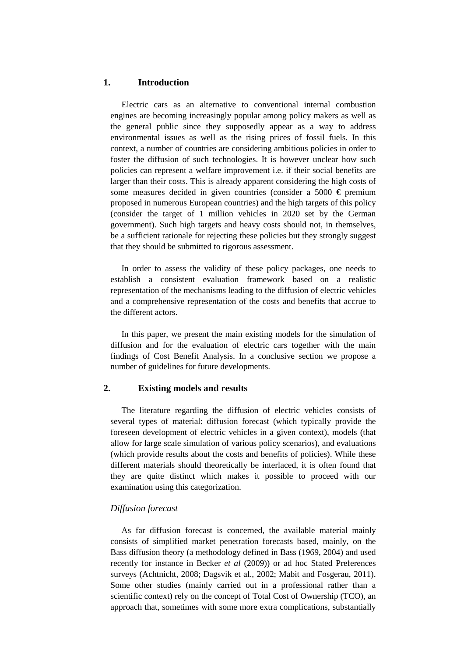### **1. Introduction**

Electric cars as an alternative to conventional internal combustion engines are becoming increasingly popular among policy makers as well as the general public since they supposedly appear as a way to address environmental issues as well as the rising prices of fossil fuels. In this context, a number of countries are considering ambitious policies in order to foster the diffusion of such technologies. It is however unclear how such policies can represent a welfare improvement i.e. if their social benefits are larger than their costs. This is already apparent considering the high costs of some measures decided in given countries (consider a 5000  $\epsilon$  premium proposed in numerous European countries) and the high targets of this policy (consider the target of 1 million vehicles in 2020 set by the German government). Such high targets and heavy costs should not, in themselves, be a sufficient rationale for rejecting these policies but they strongly suggest that they should be submitted to rigorous assessment.

In order to assess the validity of these policy packages, one needs to establish a consistent evaluation framework based on a realistic representation of the mechanisms leading to the diffusion of electric vehicles and a comprehensive representation of the costs and benefits that accrue to the different actors.

In this paper, we present the main existing models for the simulation of diffusion and for the evaluation of electric cars together with the main findings of Cost Benefit Analysis. In a conclusive section we propose a number of guidelines for future developments.

### **2. Existing models and results**

The literature regarding the diffusion of electric vehicles consists of several types of material: diffusion forecast (which typically provide the foreseen development of electric vehicles in a given context), models (that allow for large scale simulation of various policy scenarios), and evaluations (which provide results about the costs and benefits of policies). While these different materials should theoretically be interlaced, it is often found that they are quite distinct which makes it possible to proceed with our examination using this categorization.

### *Diffusion forecast*

As far diffusion forecast is concerned, the available material mainly consists of simplified market penetration forecasts based, mainly, on the Bass diffusion theory (a methodology defined in Bass (1969, 2004) and used recently for instance in Becker *et al* (2009)) or ad hoc Stated Preferences surveys (Achtnicht, 2008; Dagsvik et al., 2002; Mabit and Fosgerau, 2011). Some other studies (mainly carried out in a professional rather than a scientific context) rely on the concept of Total Cost of Ownership (TCO), an approach that, sometimes with some more extra complications, substantially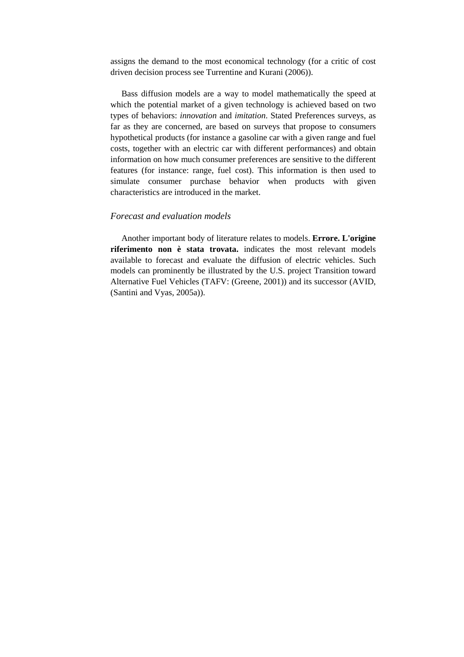assigns the demand to the most economical technology (for a critic of cost driven decision process see Turrentine and Kurani (2006)).

Bass diffusion models are a way to model mathematically the speed at which the potential market of a given technology is achieved based on two types of behaviors: *innovation* and *imitation*. Stated Preferences surveys, as far as they are concerned, are based on surveys that propose to consumers hypothetical products (for instance a gasoline car with a given range and fuel costs, together with an electric car with different performances) and obtain information on how much consumer preferences are sensitive to the different features (for instance: range, fuel cost). This information is then used to simulate consumer purchase behavior when products with given characteristics are introduced in the market.

#### *Forecast and evaluation models*

Another important body of literature relates to models. **Errore. L'origine riferimento non è stata trovata.** indicates the most relevant models available to forecast and evaluate the diffusion of electric vehicles. Such models can prominently be illustrated by the U.S. project Transition toward Alternative Fuel Vehicles (TAFV: (Greene, 2001)) and its successor (AVID, (Santini and Vyas, 2005a)).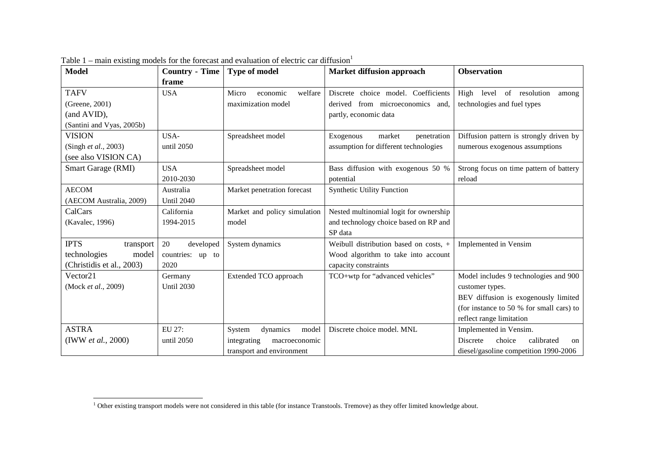| Model                        | <b>Country - Time</b> | <b>Type of model</b>         | <b>Market diffusion approach</b>       | <b>Observation</b>                                       |
|------------------------------|-----------------------|------------------------------|----------------------------------------|----------------------------------------------------------|
|                              | frame                 |                              |                                        |                                                          |
| <b>TAFV</b>                  | <b>USA</b>            | economic<br>welfare<br>Micro | Discrete choice model. Coefficients    | High<br>level of resolution<br>among                     |
| (Greene, 2001)               |                       | maximization model           | derived from microeconomics and,       | technologies and fuel types                              |
| (and AVID),                  |                       |                              | partly, economic data                  |                                                          |
| (Santini and Vyas, 2005b)    |                       |                              |                                        |                                                          |
| VISION                       | USA-                  | Spreadsheet model            | market<br>Exogenous<br>penetration     | Diffusion pattern is strongly driven by                  |
| (Singh <i>et al.</i> , 2003) | until 2050            |                              | assumption for different technologies  | numerous exogenous assumptions                           |
| (see also VISION CA)         |                       |                              |                                        |                                                          |
| Smart Garage (RMI)           | <b>USA</b>            | Spreadsheet model            | Bass diffusion with exogenous 50 %     | Strong focus on time pattern of battery                  |
|                              | 2010-2030             |                              | potential                              | reload                                                   |
| <b>AECOM</b>                 | Australia             | Market penetration forecast  | <b>Synthetic Utility Function</b>      |                                                          |
| (AECOM Australia, 2009)      | <b>Until 2040</b>     |                              |                                        |                                                          |
| CalCars                      | California            | Market and policy simulation | Nested multinomial logit for ownership |                                                          |
| (Kavalec, 1996)              | 1994-2015             | model                        | and technology choice based on RP and  |                                                          |
|                              |                       |                              | SP data                                |                                                          |
| <b>IPTS</b><br>transport     | 20<br>developed       | System dynamics              | Weibull distribution based on costs, + | Implemented in Vensim                                    |
| technologies<br>model        | countries: up to      |                              | Wood algorithm to take into account    |                                                          |
| (Christidis et al., 2003)    | 2020                  |                              | capacity constraints                   |                                                          |
| Vector21                     | Germany               | Extended TCO approach        | TCO+wtp for "advanced vehicles"        | Model includes 9 technologies and 900                    |
| (Mock et al., 2009)          | <b>Until 2030</b>     |                              |                                        | customer types.                                          |
|                              |                       |                              |                                        | BEV diffusion is exogenously limited                     |
|                              |                       |                              |                                        | (for instance to 50 % for small cars) to                 |
|                              |                       |                              |                                        | reflect range limitation                                 |
| <b>ASTRA</b>                 | EU 27:                | dynamics<br>model<br>System  | Discrete choice model. MNL             | Implemented in Vensim.                                   |
| (IWW et al., 2000)           | until 2050            | integrating<br>macroeconomic |                                        | choice<br>calibrated<br><b>Discrete</b><br><sub>on</sub> |
|                              |                       | transport and environment    |                                        | diesel/gasoline competition 1990-2006                    |

Table  $1$  – main existing models for the forecast and evaluation of electric car diffusion<sup>1</sup>

 $\mathcal{L}$ 

 $1$  Other existing transport models were not considered in this table (for instance Transtools. Tremove) as they offer limited knowledge about.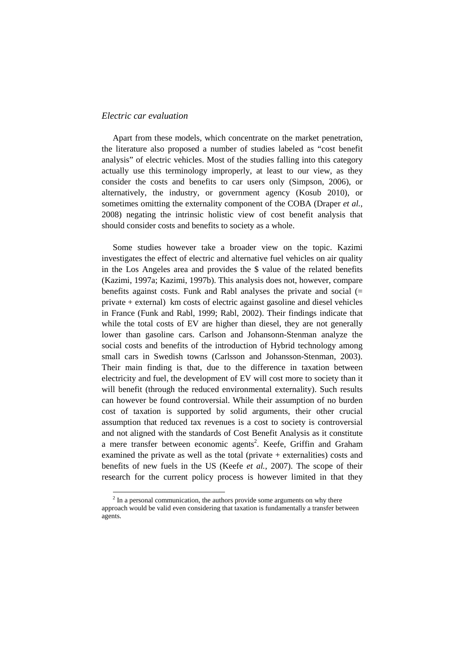### *Electric car evaluation*

Apart from these models, which concentrate on the market penetration, the literature also proposed a number of studies labeled as "cost benefit analysis" of electric vehicles. Most of the studies falling into this category actually use this terminology improperly, at least to our view, as they consider the costs and benefits to car users only (Simpson, 2006), or alternatively, the industry, or government agency (Kosub 2010), or sometimes omitting the externality component of the COBA (Draper *et al.*, 2008) negating the intrinsic holistic view of cost benefit analysis that should consider costs and benefits to society as a whole.

Some studies however take a broader view on the topic. Kazimi investigates the effect of electric and alternative fuel vehicles on air quality in the Los Angeles area and provides the \$ value of the related benefits (Kazimi, 1997a; Kazimi, 1997b). This analysis does not, however, compare benefits against costs. Funk and Rabl analyses the private and social (= private + external) km costs of electric against gasoline and diesel vehicles in France (Funk and Rabl, 1999; Rabl, 2002). Their findings indicate that while the total costs of EV are higher than diesel, they are not generally lower than gasoline cars. Carlson and Johansonn-Stenman analyze the social costs and benefits of the introduction of Hybrid technology among small cars in Swedish towns (Carlsson and Johansson-Stenman, 2003). Their main finding is that, due to the difference in taxation between electricity and fuel, the development of EV will cost more to society than it will benefit (through the reduced environmental externality). Such results can however be found controversial. While their assumption of no burden cost of taxation is supported by solid arguments, their other crucial assumption that reduced tax revenues is a cost to society is controversial and not aligned with the standards of Cost Benefit Analysis as it constitute a mere transfer between economic agents<sup>2</sup>. Keefe, Griffin and Graham examined the private as well as the total (private + externalities) costs and benefits of new fuels in the US (Keefe *et al.*, 2007). The scope of their research for the current policy process is however limited in that they

<sup>&</sup>lt;sup>2</sup> In a personal communication, the authors provide some arguments on why there approach would be valid even considering that taxation is fundamentally a transfer between agents.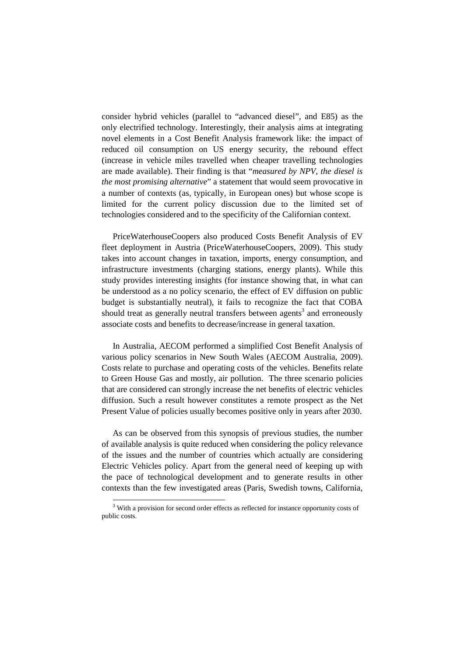consider hybrid vehicles (parallel to "advanced diesel", and E85) as the only electrified technology. Interestingly, their analysis aims at integrating novel elements in a Cost Benefit Analysis framework like: the impact of reduced oil consumption on US energy security, the rebound effect (increase in vehicle miles travelled when cheaper travelling technologies are made available). Their finding is that "*measured by NPV, the diesel is the most promising alternative*" a statement that would seem provocative in a number of contexts (as, typically, in European ones) but whose scope is limited for the current policy discussion due to the limited set of technologies considered and to the specificity of the Californian context.

PriceWaterhouseCoopers also produced Costs Benefit Analysis of EV fleet deployment in Austria (PriceWaterhouseCoopers, 2009). This study takes into account changes in taxation, imports, energy consumption, and infrastructure investments (charging stations, energy plants). While this study provides interesting insights (for instance showing that, in what can be understood as a no policy scenario, the effect of EV diffusion on public budget is substantially neutral), it fails to recognize the fact that COBA should treat as generally neutral transfers between agents<sup>3</sup> and erroneously associate costs and benefits to decrease/increase in general taxation.

In Australia, AECOM performed a simplified Cost Benefit Analysis of various policy scenarios in New South Wales (AECOM Australia, 2009). Costs relate to purchase and operating costs of the vehicles. Benefits relate to Green House Gas and mostly, air pollution. The three scenario policies that are considered can strongly increase the net benefits of electric vehicles diffusion. Such a result however constitutes a remote prospect as the Net Present Value of policies usually becomes positive only in years after 2030.

As can be observed from this synopsis of previous studies, the number of available analysis is quite reduced when considering the policy relevance of the issues and the number of countries which actually are considering Electric Vehicles policy. Apart from the general need of keeping up with the pace of technological development and to generate results in other contexts than the few investigated areas (Paris, Swedish towns, California,

<sup>&</sup>lt;sup>3</sup> With a provision for second order effects as reflected for instance opportunity costs of public costs.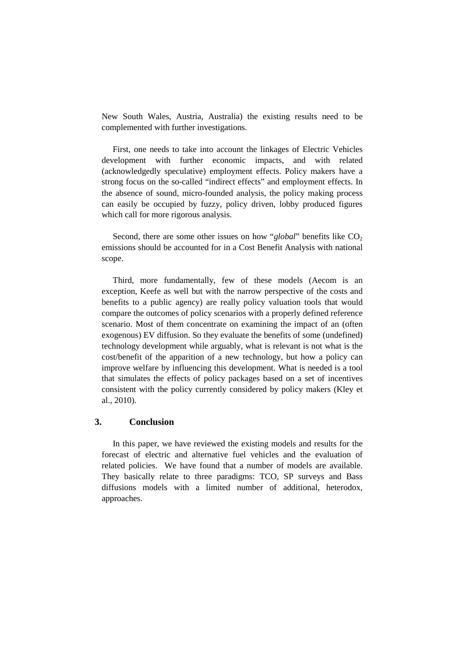New South Wales, Austria, Australia) the existing results need to be complemented with further investigations.

First, one needs to take into account the linkages of Electric Vehicles development with further economic impacts, and with related (acknowledgedly speculative) employment effects. Policy makers have a strong focus on the so-called "indirect effects" and employment effects. In the absence of sound, micro-founded analysis, the policy making process can easily be occupied by fuzzy, policy driven, lobby produced figures which call for more rigorous analysis.

Second, there are some other issues on how " $global$ " benefits like  $CO<sub>2</sub>$ emissions should be accounted for in a Cost Benefit Analysis with national scope.

Third, more fundamentally, few of these models (Aecom is an exception, Keefe as well but with the narrow perspective of the costs and benefits to a public agency) are really policy valuation tools that would compare the outcomes of policy scenarios with a properly defined reference scenario. Most of them concentrate on examining the impact of an (often exogenous) EV diffusion. So they evaluate the benefits of some (undefined) technology development while arguably, what is relevant is not what is the cost/benefit of the apparition of a new technology, but how a policy can improve welfare by influencing this development. What is needed is a tool that simulates the effects of policy packages based on a set of incentives consistent with the policy currently considered by policy makers (Kley et al., 2010).

## **3. Conclusion**

In this paper, we have reviewed the existing models and results for the forecast of electric and alternative fuel vehicles and the evaluation of related policies. We have found that a number of models are available. They basically relate to three paradigms: TCO, SP surveys and Bass diffusions models with a limited number of additional, heterodox, approaches.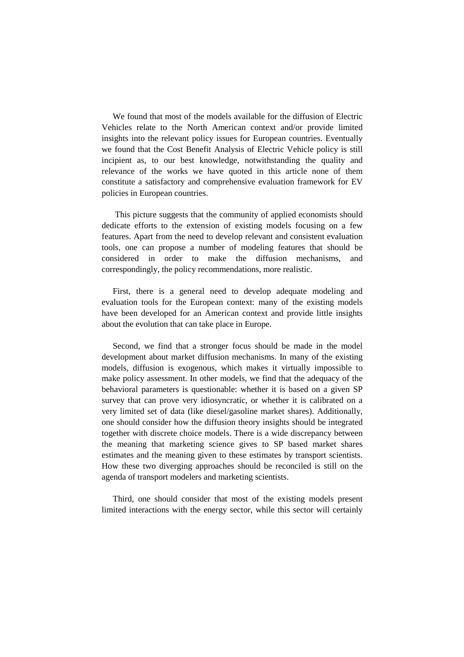We found that most of the models available for the diffusion of Electric Vehicles relate to the North American context and/or provide limited insights into the relevant policy issues for European countries. Eventually we found that the Cost Benefit Analysis of Electric Vehicle policy is still incipient as, to our best knowledge, notwithstanding the quality and relevance of the works we have quoted in this article none of them constitute a satisfactory and comprehensive evaluation framework for EV policies in European countries.

 This picture suggests that the community of applied economists should dedicate efforts to the extension of existing models focusing on a few features. Apart from the need to develop relevant and consistent evaluation tools, one can propose a number of modeling features that should be considered in order to make the diffusion mechanisms, and correspondingly, the policy recommendations, more realistic.

First, there is a general need to develop adequate modeling and evaluation tools for the European context: many of the existing models have been developed for an American context and provide little insights about the evolution that can take place in Europe.

Second, we find that a stronger focus should be made in the model development about market diffusion mechanisms. In many of the existing models, diffusion is exogenous, which makes it virtually impossible to make policy assessment. In other models, we find that the adequacy of the behavioral parameters is questionable: whether it is based on a given SP survey that can prove very idiosyncratic, or whether it is calibrated on a very limited set of data (like diesel/gasoline market shares). Additionally, one should consider how the diffusion theory insights should be integrated together with discrete choice models. There is a wide discrepancy between the meaning that marketing science gives to SP based market shares estimates and the meaning given to these estimates by transport scientists. How these two diverging approaches should be reconciled is still on the agenda of transport modelers and marketing scientists.

Third, one should consider that most of the existing models present limited interactions with the energy sector, while this sector will certainly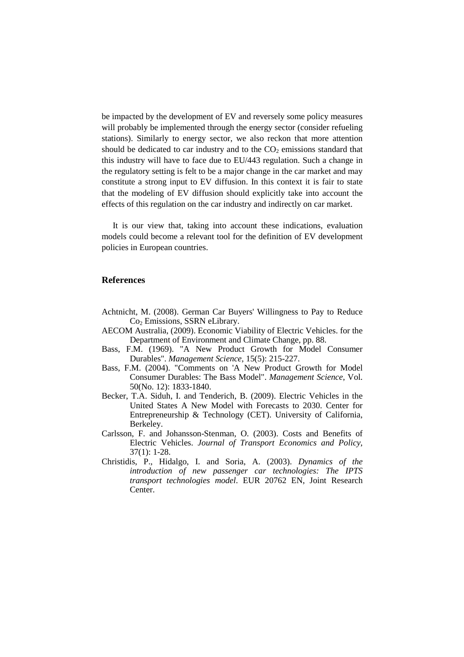be impacted by the development of EV and reversely some policy measures will probably be implemented through the energy sector (consider refueling stations). Similarly to energy sector, we also reckon that more attention should be dedicated to car industry and to the  $CO<sub>2</sub>$  emissions standard that this industry will have to face due to EU/443 regulation. Such a change in the regulatory setting is felt to be a major change in the car market and may constitute a strong input to EV diffusion. In this context it is fair to state that the modeling of EV diffusion should explicitly take into account the effects of this regulation on the car industry and indirectly on car market.

It is our view that, taking into account these indications, evaluation models could become a relevant tool for the definition of EV development policies in European countries.

#### **References**

- Achtnicht, M. (2008). German Car Buyers' Willingness to Pay to Reduce Co<sub>2</sub> Emissions, SSRN eLibrary.
- AECOM Australia, (2009). Economic Viability of Electric Vehicles. for the Department of Environment and Climate Change, pp. 88.
- Bass, F.M. (1969). "A New Product Growth for Model Consumer Durables". *Management Science*, 15(5): 215-227.
- Bass, F.M. (2004). "Comments on 'A New Product Growth for Model Consumer Durables: The Bass Model". *Management Science*, Vol. 50(No. 12): 1833-1840.
- Becker, T.A. Siduh, I. and Tenderich, B. (2009). Electric Vehicles in the United States A New Model with Forecasts to 2030. Center for Entrepreneurship & Technology (CET). University of California, Berkeley.
- Carlsson, F. and Johansson-Stenman, O. (2003). Costs and Benefits of Electric Vehicles. *Journal of Transport Economics and Policy*, 37(1): 1-28.
- Christidis, P., Hidalgo, I. and Soria, A. (2003). *Dynamics of the introduction of new passenger car technologies: The IPTS transport technologies model*. EUR 20762 EN, Joint Research Center.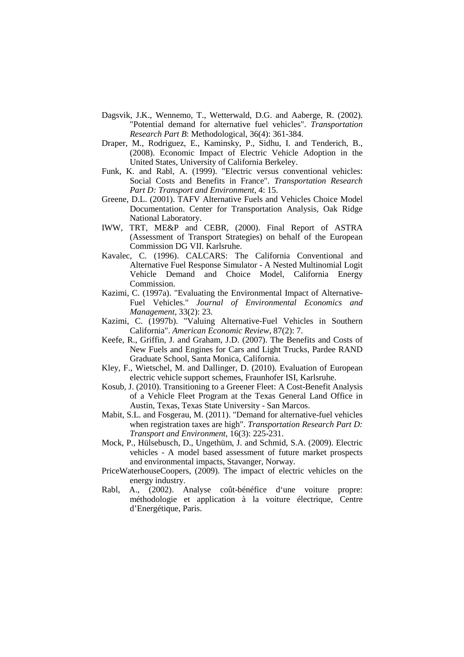- Dagsvik, J.K., Wennemo, T., Wetterwald, D.G. and Aaberge, R. (2002). "Potential demand for alternative fuel vehicles". *Transportation Research Part B*: Methodological, 36(4): 361-384.
- Draper, M., Rodriguez, E., Kaminsky, P., Sidhu, I. and Tenderich, B., (2008). Economic Impact of Electric Vehicle Adoption in the United States, University of California Berkeley.
- Funk, K. and Rabl, A. (1999). "Electric versus conventional vehicles: Social Costs and Benefits in France". *Transportation Research Part D: Transport and Environment*, 4: 15.
- Greene, D.L. (2001). TAFV Alternative Fuels and Vehicles Choice Model Documentation. Center for Transportation Analysis, Oak Ridge National Laboratory.
- IWW, TRT, ME&P and CEBR, (2000). Final Report of ASTRA (Assessment of Transport Strategies) on behalf of the European Commission DG VII. Karlsruhe.
- Kavalec, C. (1996). CALCARS: The California Conventional and Alternative Fuel Response Simulator - A Nested Multinomial Logit Vehicle Demand and Choice Model, California Energy Commission.
- Kazimi, C. (1997a). "Evaluating the Environmental Impact of Alternative-Fuel Vehicles." *Journal of Environmental Economics and Management*, 33(2): 23.
- Kazimi, C. (1997b). "Valuing Alternative-Fuel Vehicles in Southern California". *American Economic Review*, 87(2): 7.
- Keefe, R., Griffin, J. and Graham, J.D. (2007). The Benefits and Costs of New Fuels and Engines for Cars and Light Trucks, Pardee RAND Graduate School, Santa Monica, California.
- Kley, F., Wietschel, M. and Dallinger, D. (2010). Evaluation of European electric vehicle support schemes, Fraunhofer ISI, Karlsruhe.
- Kosub, J. (2010). Transitioning to a Greener Fleet: A Cost-Benefit Analysis of a Vehicle Fleet Program at the Texas General Land Office in Austin, Texas, Texas State University - San Marcos.
- Mabit, S.L. and Fosgerau, M. (2011). "Demand for alternative-fuel vehicles when registration taxes are high". *Transportation Research Part D: Transport and Environment*, 16(3): 225-231.
- Mock, P., Hülsebusch, D., Ungethüm, J. and Schmid, S.A. (2009). Electric vehicles - A model based assessment of future market prospects and environmental impacts, Stavanger, Norway.
- PriceWaterhouseCoopers, (2009). The impact of electric vehicles on the energy industry.
- Rabl, A., (2002). Analyse coût-bénéfice d'une voiture propre: méthodologie et application à la voiture électrique, Centre d'Energétique, Paris.